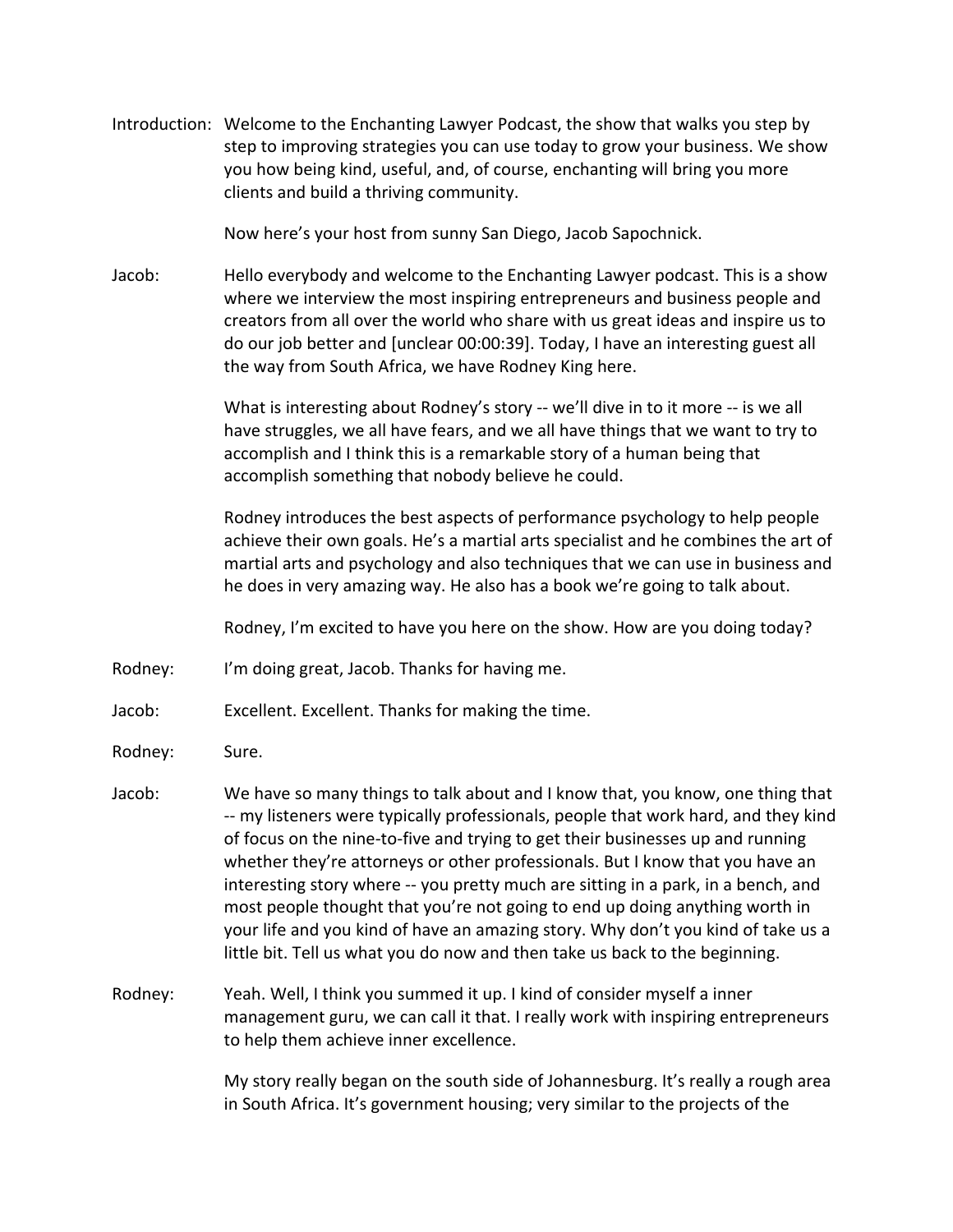Introduction: Welcome to the Enchanting Lawyer Podcast, the show that walks you step by step to improving strategies you can use today to grow your business. We show you how being kind, useful, and, of course, enchanting will bring you more clients and build a thriving community.

Now here's your host from sunny San Diego, Jacob Sapochnick.

Jacob: Hello everybody and welcome to the Enchanting Lawyer podcast. This is a show where we interview the most inspiring entrepreneurs and business people and creators from all over the world who share with us great ideas and inspire us to do our job better and [unclear 00:00:39]. Today, I have an interesting guest all the way from South Africa, we have Rodney King here.

> What is interesting about Rodney's story -- we'll dive in to it more -- is we all have struggles, we all have fears, and we all have things that we want to try to accomplish and I think this is a remarkable story of a human being that accomplish something that nobody believe he could.

Rodney introduces the best aspects of performance psychology to help people achieve their own goals. He's a martial arts specialist and he combines the art of martial arts and psychology and also techniques that we can use in business and he does in very amazing way. He also has a book we're going to talk about.

Rodney, I'm excited to have you here on the show. How are you doing today?

- Rodney: I'm doing great, Jacob. Thanks for having me.
- Jacob: Excellent. Excellent. Thanks for making the time.
- Rodney: Sure.
- Jacob: We have so many things to talk about and I know that, you know, one thing that -- my listeners were typically professionals, people that work hard, and they kind of focus on the nine-to-five and trying to get their businesses up and running whether they're attorneys or other professionals. But I know that you have an interesting story where -- you pretty much are sitting in a park, in a bench, and most people thought that you're not going to end up doing anything worth in your life and you kind of have an amazing story. Why don't you kind of take us a little bit. Tell us what you do now and then take us back to the beginning.
- Rodney: Yeah. Well, I think you summed it up. I kind of consider myself a inner management guru, we can call it that. I really work with inspiring entrepreneurs to help them achieve inner excellence.

My story really began on the south side of Johannesburg. It's really a rough area in South Africa. It's government housing; very similar to the projects of the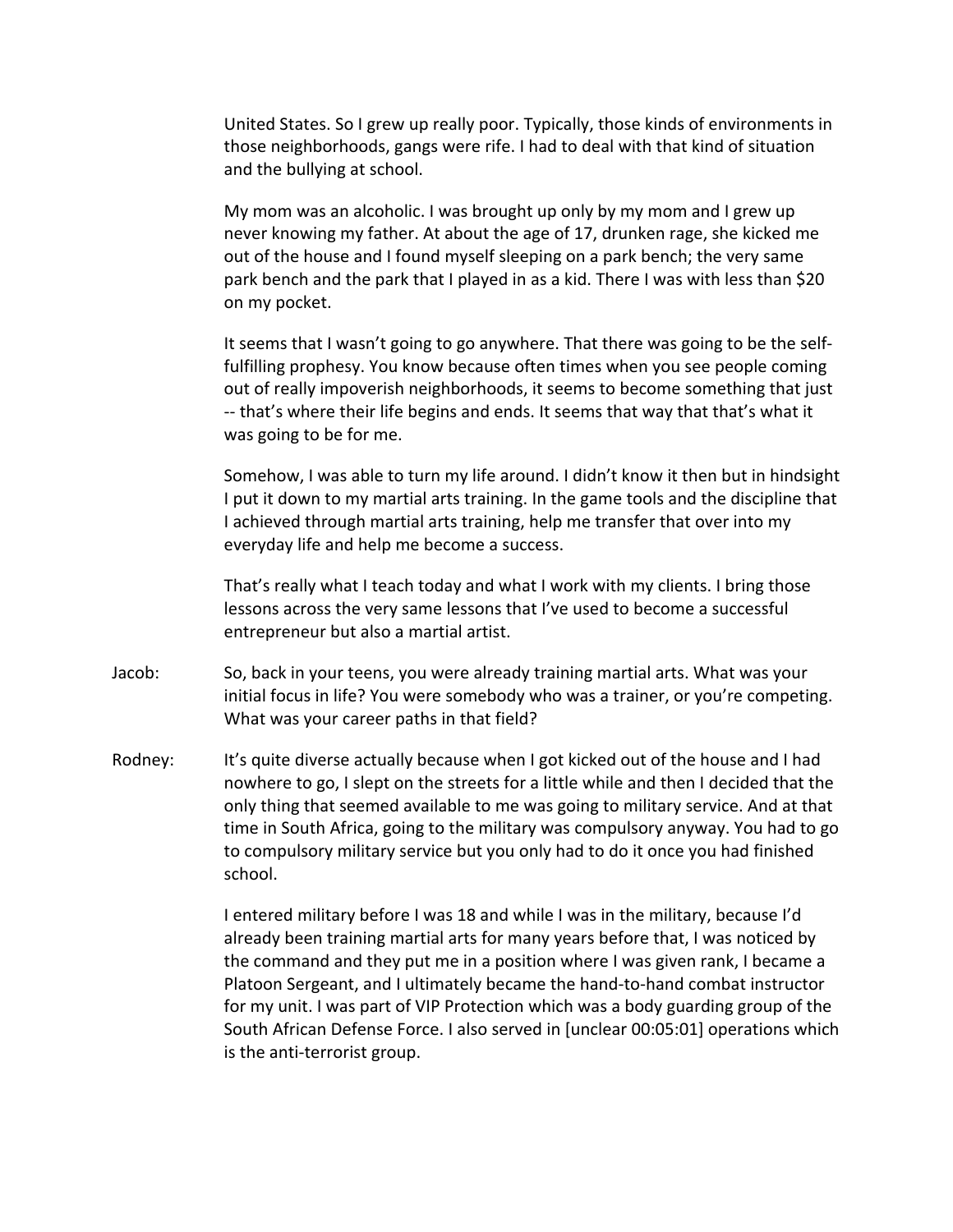United States. So I grew up really poor. Typically, those kinds of environments in those neighborhoods, gangs were rife. I had to deal with that kind of situation and the bullying at school.

My mom was an alcoholic. I was brought up only by my mom and I grew up never knowing my father. At about the age of 17, drunken rage, she kicked me out of the house and I found myself sleeping on a park bench; the very same park bench and the park that I played in as a kid. There I was with less than \$20 on my pocket.

It seems that I wasn't going to go anywhere. That there was going to be the selffulfilling prophesy. You know because often times when you see people coming out of really impoverish neighborhoods, it seems to become something that just -- that's where their life begins and ends. It seems that way that that's what it was going to be for me.

Somehow, I was able to turn my life around. I didn't know it then but in hindsight I put it down to my martial arts training. In the game tools and the discipline that I achieved through martial arts training, help me transfer that over into my everyday life and help me become a success.

That's really what I teach today and what I work with my clients. I bring those lessons across the very same lessons that I've used to become a successful entrepreneur but also a martial artist.

- Jacob: So, back in your teens, you were already training martial arts. What was your initial focus in life? You were somebody who was a trainer, or you're competing. What was your career paths in that field?
- Rodney: It's quite diverse actually because when I got kicked out of the house and I had nowhere to go, I slept on the streets for a little while and then I decided that the only thing that seemed available to me was going to military service. And at that time in South Africa, going to the military was compulsory anyway. You had to go to compulsory military service but you only had to do it once you had finished school.

I entered military before I was 18 and while I was in the military, because I'd already been training martial arts for many years before that, I was noticed by the command and they put me in a position where I was given rank, I became a Platoon Sergeant, and I ultimately became the hand-to-hand combat instructor for my unit. I was part of VIP Protection which was a body guarding group of the South African Defense Force. I also served in [unclear 00:05:01] operations which is the anti-terrorist group.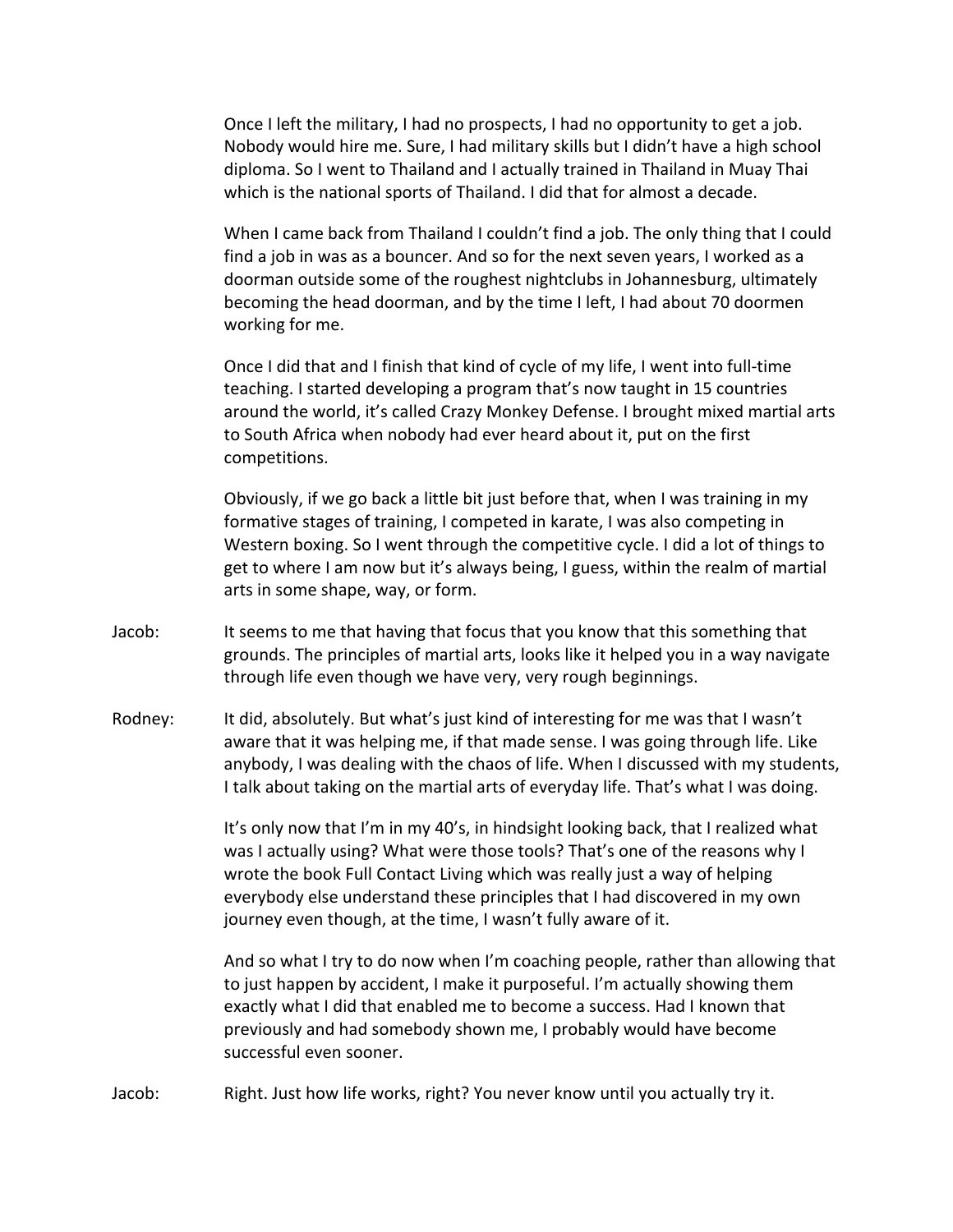Once I left the military, I had no prospects, I had no opportunity to get a job. Nobody would hire me. Sure, I had military skills but I didn't have a high school diploma. So I went to Thailand and I actually trained in Thailand in Muay Thai which is the national sports of Thailand. I did that for almost a decade.

When I came back from Thailand I couldn't find a job. The only thing that I could find a job in was as a bouncer. And so for the next seven years, I worked as a doorman outside some of the roughest nightclubs in Johannesburg, ultimately becoming the head doorman, and by the time I left, I had about 70 doormen working for me.

Once I did that and I finish that kind of cycle of my life, I went into full-time teaching. I started developing a program that's now taught in 15 countries around the world, it's called Crazy Monkey Defense. I brought mixed martial arts to South Africa when nobody had ever heard about it, put on the first competitions. 

Obviously, if we go back a little bit just before that, when I was training in my formative stages of training, I competed in karate, I was also competing in Western boxing. So I went through the competitive cycle. I did a lot of things to get to where I am now but it's always being, I guess, within the realm of martial arts in some shape, way, or form.

- Jacob: It seems to me that having that focus that you know that this something that grounds. The principles of martial arts, looks like it helped you in a way navigate through life even though we have very, very rough beginnings.
- Rodney: It did, absolutely. But what's just kind of interesting for me was that I wasn't aware that it was helping me, if that made sense. I was going through life. Like anybody, I was dealing with the chaos of life. When I discussed with my students, I talk about taking on the martial arts of everyday life. That's what I was doing.

It's only now that I'm in my 40's, in hindsight looking back, that I realized what was I actually using? What were those tools? That's one of the reasons why I wrote the book Full Contact Living which was really just a way of helping everybody else understand these principles that I had discovered in my own journey even though, at the time, I wasn't fully aware of it.

And so what I try to do now when I'm coaching people, rather than allowing that to just happen by accident, I make it purposeful. I'm actually showing them exactly what I did that enabled me to become a success. Had I known that previously and had somebody shown me, I probably would have become successful even sooner.

Jacob: Right. Just how life works, right? You never know until you actually try it.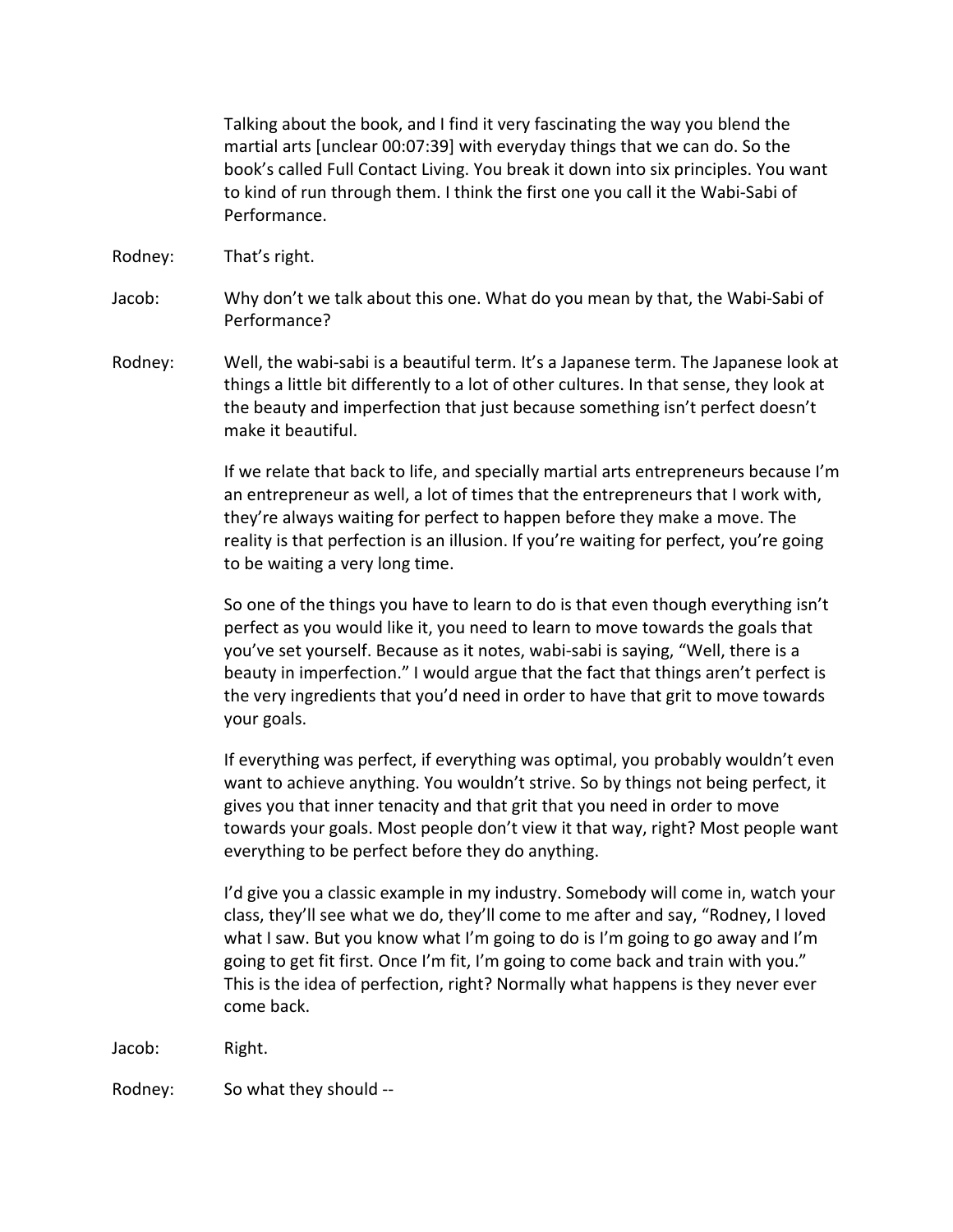Talking about the book, and I find it very fascinating the way you blend the martial arts [unclear 00:07:39] with everyday things that we can do. So the book's called Full Contact Living. You break it down into six principles. You want to kind of run through them. I think the first one you call it the Wabi-Sabi of Performance.

Rodney: That's right.

Jacob: Why don't we talk about this one. What do you mean by that, the Wabi-Sabi of Performance?

Rodney: Well, the wabi-sabi is a beautiful term. It's a Japanese term. The Japanese look at things a little bit differently to a lot of other cultures. In that sense, they look at the beauty and imperfection that just because something isn't perfect doesn't make it beautiful.

> If we relate that back to life, and specially martial arts entrepreneurs because I'm an entrepreneur as well, a lot of times that the entrepreneurs that I work with, they're always waiting for perfect to happen before they make a move. The reality is that perfection is an illusion. If you're waiting for perfect, you're going to be waiting a very long time.

So one of the things you have to learn to do is that even though everything isn't perfect as you would like it, you need to learn to move towards the goals that you've set yourself. Because as it notes, wabi-sabi is saying, "Well, there is a beauty in imperfection." I would argue that the fact that things aren't perfect is the very ingredients that you'd need in order to have that grit to move towards your goals.

If everything was perfect, if everything was optimal, you probably wouldn't even want to achieve anything. You wouldn't strive. So by things not being perfect, it gives you that inner tenacity and that grit that you need in order to move towards your goals. Most people don't view it that way, right? Most people want everything to be perfect before they do anything.

I'd give you a classic example in my industry. Somebody will come in, watch your class, they'll see what we do, they'll come to me after and say, "Rodney, I loved what I saw. But you know what I'm going to do is I'm going to go away and I'm going to get fit first. Once I'm fit, I'm going to come back and train with you." This is the idea of perfection, right? Normally what happens is they never ever come back.

Jacob: Right. 

Rodney: So what they should --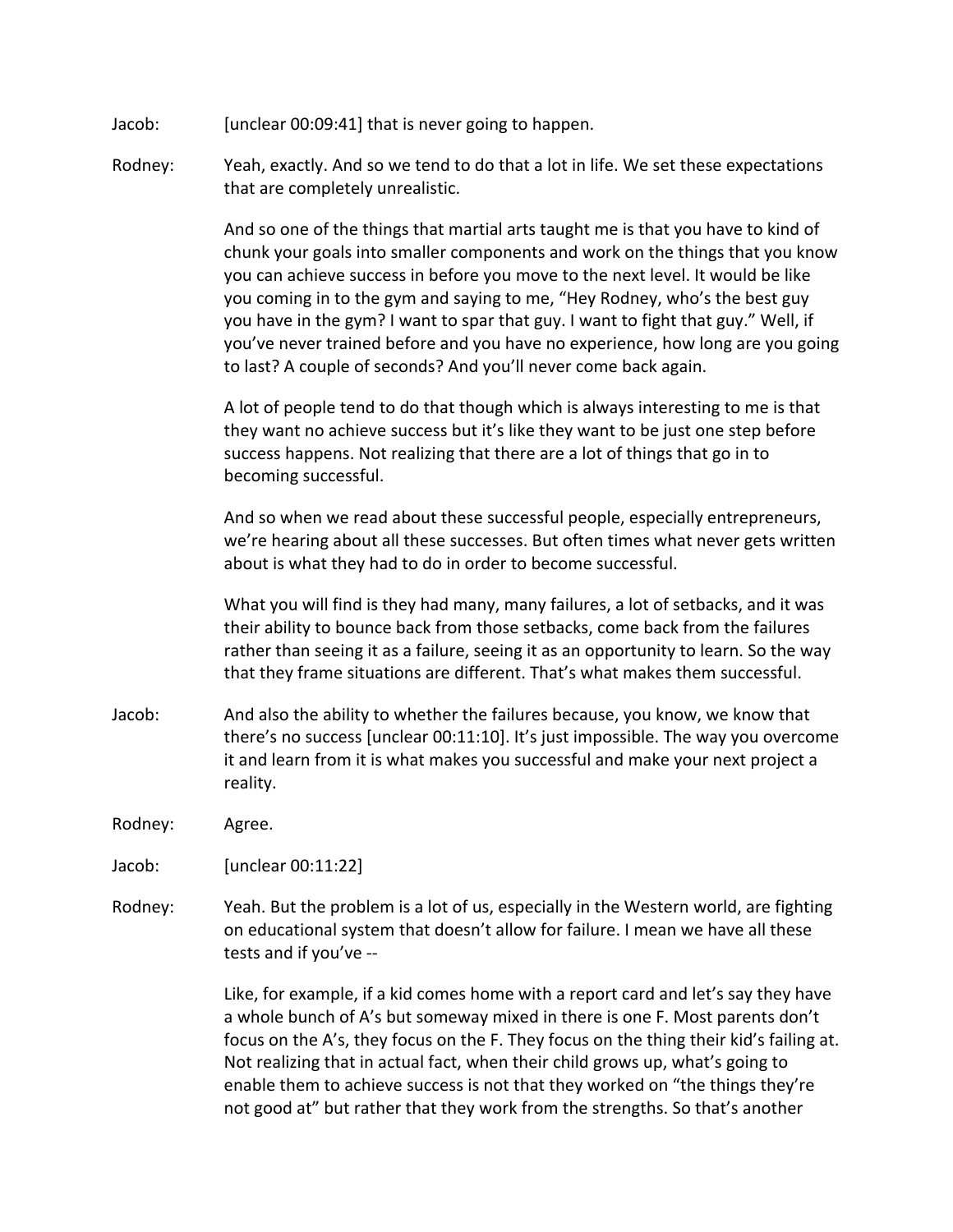- Jacob: [unclear 00:09:41] that is never going to happen.
- Rodney: Yeah, exactly. And so we tend to do that a lot in life. We set these expectations that are completely unrealistic.

And so one of the things that martial arts taught me is that you have to kind of chunk your goals into smaller components and work on the things that you know you can achieve success in before you move to the next level. It would be like you coming in to the gym and saying to me, "Hey Rodney, who's the best guy you have in the gym? I want to spar that guy. I want to fight that guy." Well, if you've never trained before and you have no experience, how long are you going to last? A couple of seconds? And you'll never come back again.

A lot of people tend to do that though which is always interesting to me is that they want no achieve success but it's like they want to be just one step before success happens. Not realizing that there are a lot of things that go in to becoming successful.

And so when we read about these successful people, especially entrepreneurs, we're hearing about all these successes. But often times what never gets written about is what they had to do in order to become successful.

What you will find is they had many, many failures, a lot of setbacks, and it was their ability to bounce back from those setbacks, come back from the failures rather than seeing it as a failure, seeing it as an opportunity to learn. So the way that they frame situations are different. That's what makes them successful.

- Jacob: And also the ability to whether the failures because, you know, we know that there's no success [unclear  $00:11:10$ ]. It's just impossible. The way you overcome it and learn from it is what makes you successful and make your next project a reality.
- Rodney: Agree.

Jacob: [unclear 00:11:22]

Rodney: Yeah. But the problem is a lot of us, especially in the Western world, are fighting on educational system that doesn't allow for failure. I mean we have all these tests and if you've --

> Like, for example, if a kid comes home with a report card and let's say they have a whole bunch of A's but someway mixed in there is one F. Most parents don't focus on the A's, they focus on the F. They focus on the thing their kid's failing at. Not realizing that in actual fact, when their child grows up, what's going to enable them to achieve success is not that they worked on "the things they're not good at" but rather that they work from the strengths. So that's another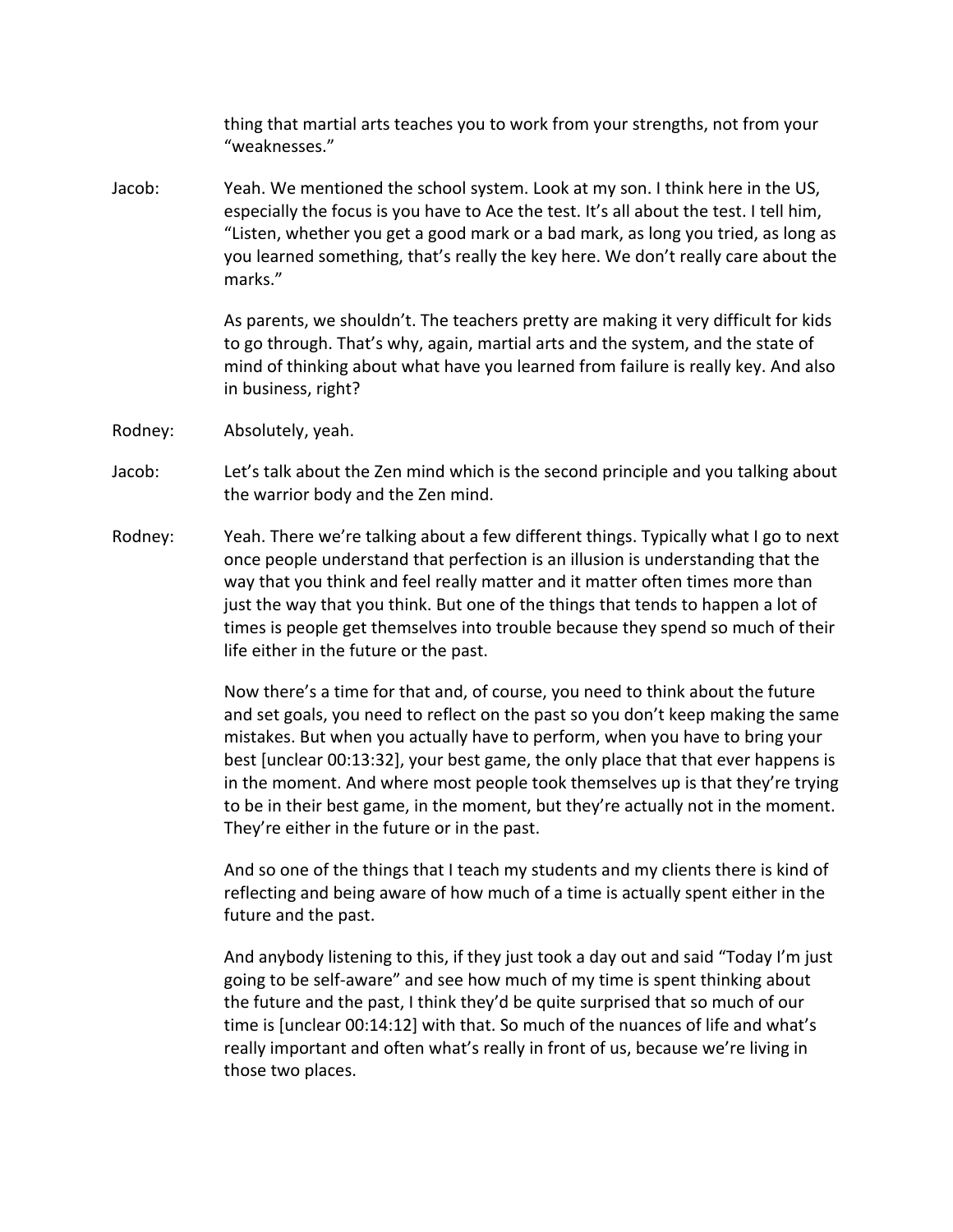thing that martial arts teaches you to work from your strengths, not from your "weaknesses."

Jacob: Yeah. We mentioned the school system. Look at my son. I think here in the US, especially the focus is you have to Ace the test. It's all about the test. I tell him, "Listen, whether you get a good mark or a bad mark, as long you tried, as long as you learned something, that's really the key here. We don't really care about the marks."

> As parents, we shouldn't. The teachers pretty are making it very difficult for kids to go through. That's why, again, martial arts and the system, and the state of mind of thinking about what have you learned from failure is really key. And also in business, right?

Rodney: Absolutely, yeah.

Jacob: Let's talk about the Zen mind which is the second principle and you talking about the warrior body and the Zen mind.

Rodney: Yeah. There we're talking about a few different things. Typically what I go to next once people understand that perfection is an illusion is understanding that the way that you think and feel really matter and it matter often times more than just the way that you think. But one of the things that tends to happen a lot of times is people get themselves into trouble because they spend so much of their life either in the future or the past.

> Now there's a time for that and, of course, you need to think about the future and set goals, you need to reflect on the past so you don't keep making the same mistakes. But when you actually have to perform, when you have to bring your best [unclear 00:13:32], your best game, the only place that that ever happens is in the moment. And where most people took themselves up is that they're trying to be in their best game, in the moment, but they're actually not in the moment. They're either in the future or in the past.

And so one of the things that I teach my students and my clients there is kind of reflecting and being aware of how much of a time is actually spent either in the future and the past.

And anybody listening to this, if they just took a day out and said "Today I'm just going to be self-aware" and see how much of my time is spent thinking about the future and the past, I think they'd be quite surprised that so much of our time is [unclear 00:14:12] with that. So much of the nuances of life and what's really important and often what's really in front of us, because we're living in those two places.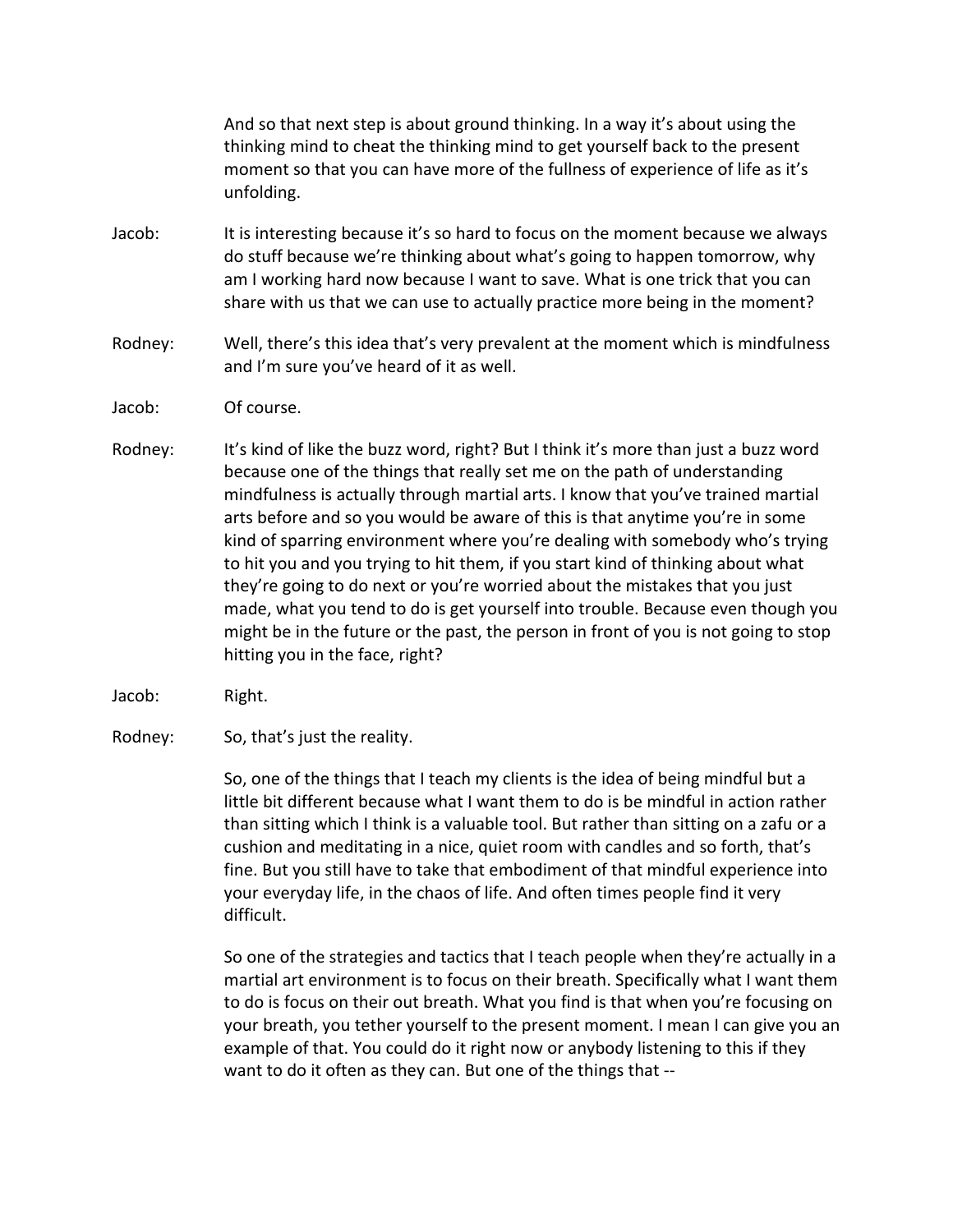And so that next step is about ground thinking. In a way it's about using the thinking mind to cheat the thinking mind to get yourself back to the present moment so that you can have more of the fullness of experience of life as it's unfolding. 

- Jacob: It is interesting because it's so hard to focus on the moment because we always do stuff because we're thinking about what's going to happen tomorrow, why am I working hard now because I want to save. What is one trick that you can share with us that we can use to actually practice more being in the moment?
- Rodney: Well, there's this idea that's very prevalent at the moment which is mindfulness and I'm sure you've heard of it as well.
- Jacob: Of course.
- Rodney: It's kind of like the buzz word, right? But I think it's more than just a buzz word because one of the things that really set me on the path of understanding mindfulness is actually through martial arts. I know that you've trained martial arts before and so you would be aware of this is that anytime you're in some kind of sparring environment where you're dealing with somebody who's trying to hit you and you trying to hit them, if you start kind of thinking about what they're going to do next or you're worried about the mistakes that you just made, what you tend to do is get yourself into trouble. Because even though you might be in the future or the past, the person in front of you is not going to stop hitting you in the face, right?
- Jacob: Right.
- Rodney: So, that's just the reality.

So, one of the things that I teach my clients is the idea of being mindful but a little bit different because what I want them to do is be mindful in action rather than sitting which I think is a valuable tool. But rather than sitting on a zafu or a cushion and meditating in a nice, quiet room with candles and so forth, that's fine. But you still have to take that embodiment of that mindful experience into your everyday life, in the chaos of life. And often times people find it very difficult.

So one of the strategies and tactics that I teach people when they're actually in a martial art environment is to focus on their breath. Specifically what I want them to do is focus on their out breath. What you find is that when you're focusing on your breath, you tether yourself to the present moment. I mean I can give you an example of that. You could do it right now or anybody listening to this if they want to do it often as they can. But one of the things that --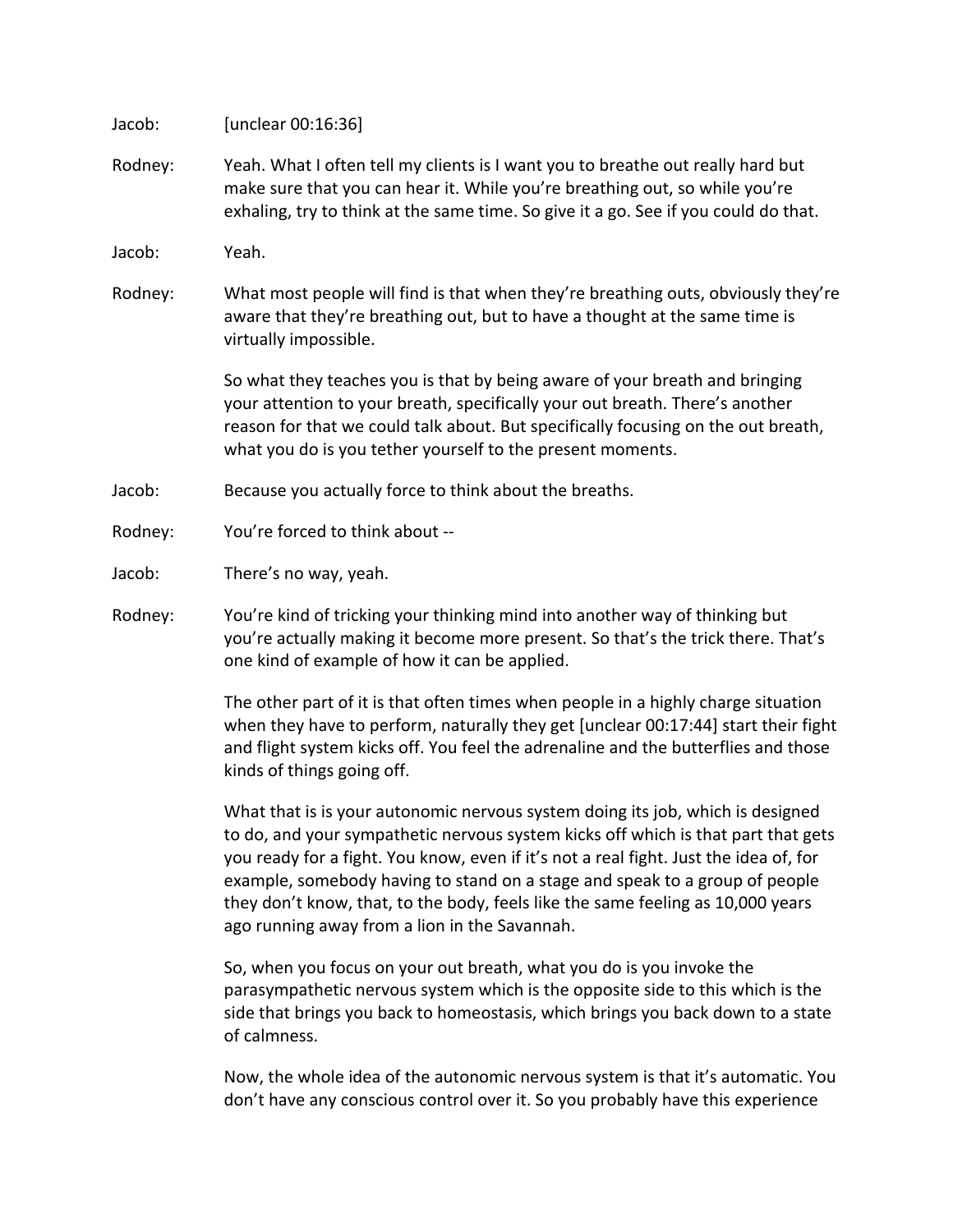Jacob: [unclear 00:16:36]

Rodney: Yeah. What I often tell my clients is I want you to breathe out really hard but make sure that you can hear it. While you're breathing out, so while you're exhaling, try to think at the same time. So give it a go. See if you could do that.

Jacob: Yeah. 

Rodney: What most people will find is that when they're breathing outs, obviously they're aware that they're breathing out, but to have a thought at the same time is virtually impossible.

> So what they teaches you is that by being aware of your breath and bringing your attention to your breath, specifically your out breath. There's another reason for that we could talk about. But specifically focusing on the out breath, what you do is you tether yourself to the present moments.

- Jacob: Because you actually force to think about the breaths.
- Rodney: You're forced to think about --
- Jacob: There's no way, yeah.
- Rodney: You're kind of tricking your thinking mind into another way of thinking but you're actually making it become more present. So that's the trick there. That's one kind of example of how it can be applied.

The other part of it is that often times when people in a highly charge situation when they have to perform, naturally they get [unclear  $00:17:44$ ] start their fight and flight system kicks off. You feel the adrenaline and the butterflies and those kinds of things going off.

What that is is your autonomic nervous system doing its job, which is designed to do, and your sympathetic nervous system kicks off which is that part that gets you ready for a fight. You know, even if it's not a real fight. Just the idea of, for example, somebody having to stand on a stage and speak to a group of people they don't know, that, to the body, feels like the same feeling as 10,000 years ago running away from a lion in the Savannah.

So, when you focus on your out breath, what you do is you invoke the parasympathetic nervous system which is the opposite side to this which is the side that brings you back to homeostasis, which brings you back down to a state of calmness.

Now, the whole idea of the autonomic nervous system is that it's automatic. You don't have any conscious control over it. So you probably have this experience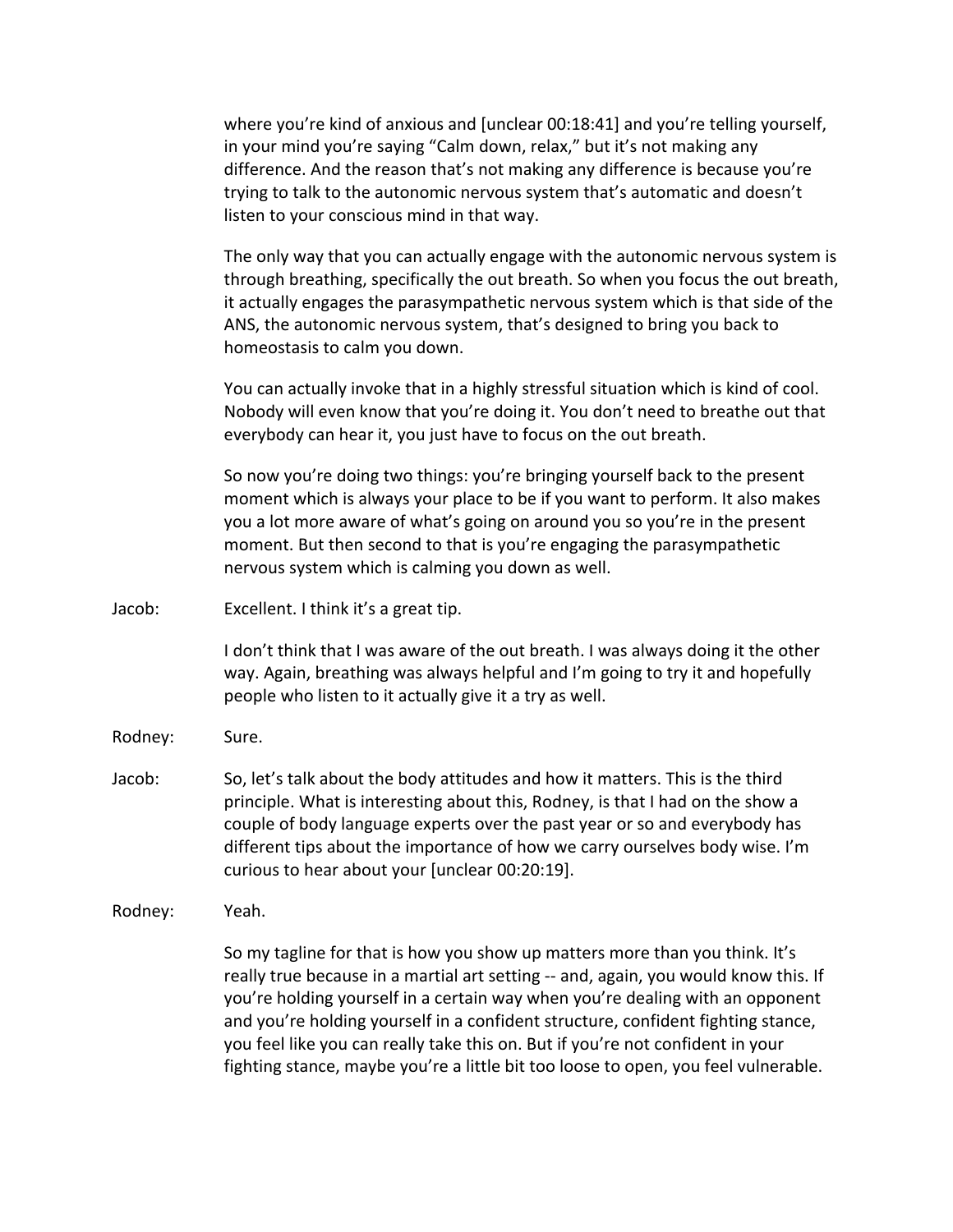where you're kind of anxious and [unclear  $00:18:41$ ] and you're telling yourself, in your mind you're saying "Calm down, relax," but it's not making any difference. And the reason that's not making any difference is because you're trying to talk to the autonomic nervous system that's automatic and doesn't listen to your conscious mind in that way.

The only way that you can actually engage with the autonomic nervous system is through breathing, specifically the out breath. So when you focus the out breath, it actually engages the parasympathetic nervous system which is that side of the ANS, the autonomic nervous system, that's designed to bring you back to homeostasis to calm you down.

You can actually invoke that in a highly stressful situation which is kind of cool. Nobody will even know that you're doing it. You don't need to breathe out that everybody can hear it, you just have to focus on the out breath.

So now you're doing two things: you're bringing yourself back to the present moment which is always your place to be if you want to perform. It also makes you a lot more aware of what's going on around you so you're in the present moment. But then second to that is you're engaging the parasympathetic nervous system which is calming you down as well.

Jacob: Excellent. I think it's a great tip.

I don't think that I was aware of the out breath. I was always doing it the other way. Again, breathing was always helpful and I'm going to try it and hopefully people who listen to it actually give it a try as well.

- Rodney: Sure.
- Jacob: So, let's talk about the body attitudes and how it matters. This is the third principle. What is interesting about this, Rodney, is that I had on the show a couple of body language experts over the past year or so and everybody has different tips about the importance of how we carry ourselves body wise. I'm curious to hear about your [unclear 00:20:19].
- Rodney: Yeah.

So my tagline for that is how you show up matters more than you think. It's really true because in a martial art setting -- and, again, you would know this. If you're holding yourself in a certain way when you're dealing with an opponent and you're holding yourself in a confident structure, confident fighting stance, you feel like you can really take this on. But if you're not confident in your fighting stance, maybe you're a little bit too loose to open, you feel vulnerable.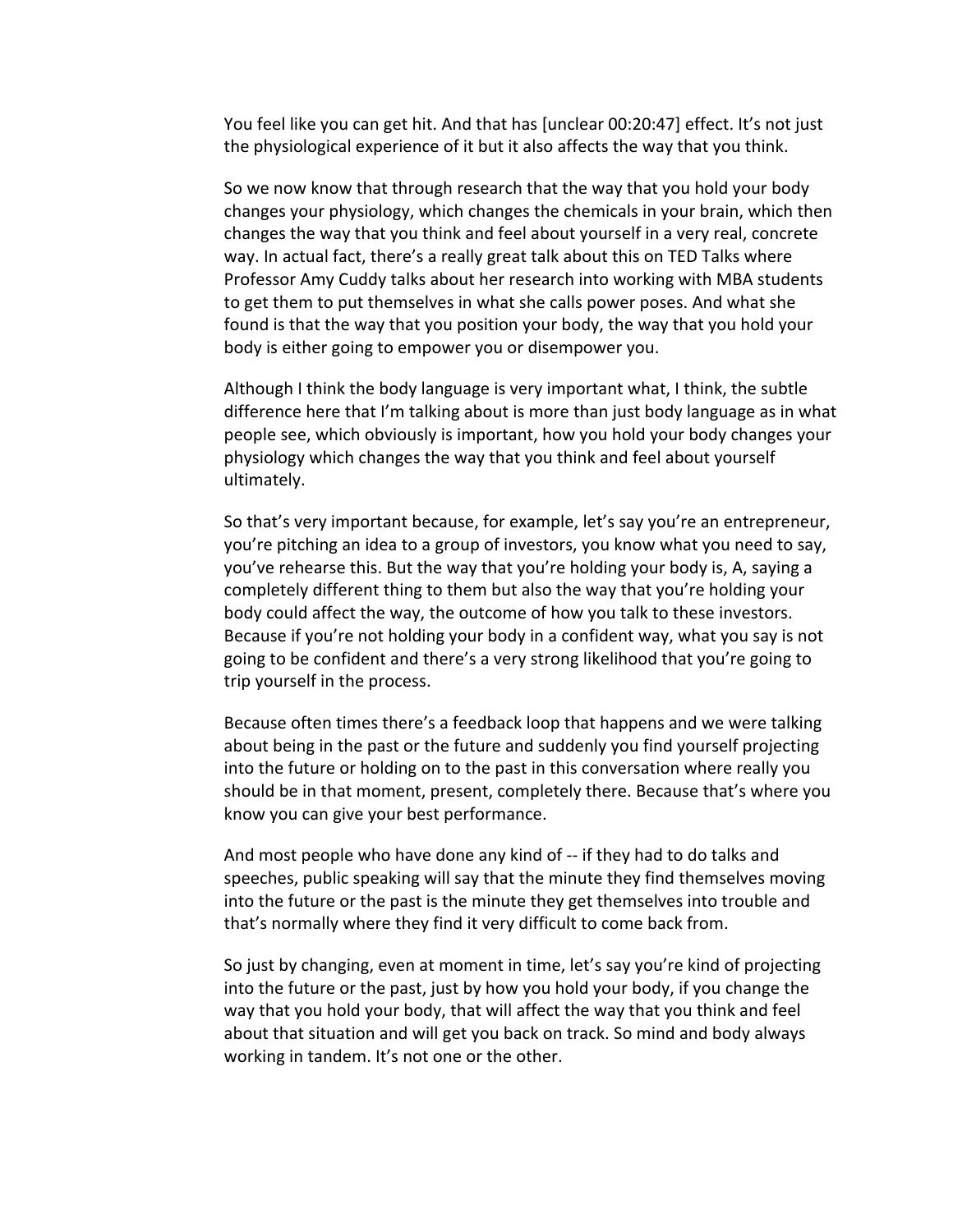You feel like you can get hit. And that has [unclear 00:20:47] effect. It's not just the physiological experience of it but it also affects the way that you think.

So we now know that through research that the way that you hold your body changes your physiology, which changes the chemicals in your brain, which then changes the way that you think and feel about yourself in a very real, concrete way. In actual fact, there's a really great talk about this on TED Talks where Professor Amy Cuddy talks about her research into working with MBA students to get them to put themselves in what she calls power poses. And what she found is that the way that you position your body, the way that you hold your body is either going to empower you or disempower you.

Although I think the body language is very important what, I think, the subtle difference here that I'm talking about is more than just body language as in what people see, which obviously is important, how you hold your body changes your physiology which changes the way that you think and feel about yourself ultimately. 

So that's very important because, for example, let's say you're an entrepreneur, you're pitching an idea to a group of investors, you know what you need to say, you've rehearse this. But the way that you're holding your body is, A, saying a completely different thing to them but also the way that you're holding your body could affect the way, the outcome of how you talk to these investors. Because if you're not holding your body in a confident way, what you say is not going to be confident and there's a very strong likelihood that you're going to trip yourself in the process.

Because often times there's a feedback loop that happens and we were talking about being in the past or the future and suddenly you find yourself projecting into the future or holding on to the past in this conversation where really you should be in that moment, present, completely there. Because that's where you know you can give your best performance.

And most people who have done any kind of -- if they had to do talks and speeches, public speaking will say that the minute they find themselves moving into the future or the past is the minute they get themselves into trouble and that's normally where they find it very difficult to come back from.

So just by changing, even at moment in time, let's say you're kind of projecting into the future or the past, just by how you hold your body, if you change the way that you hold your body, that will affect the way that you think and feel about that situation and will get you back on track. So mind and body always working in tandem. It's not one or the other.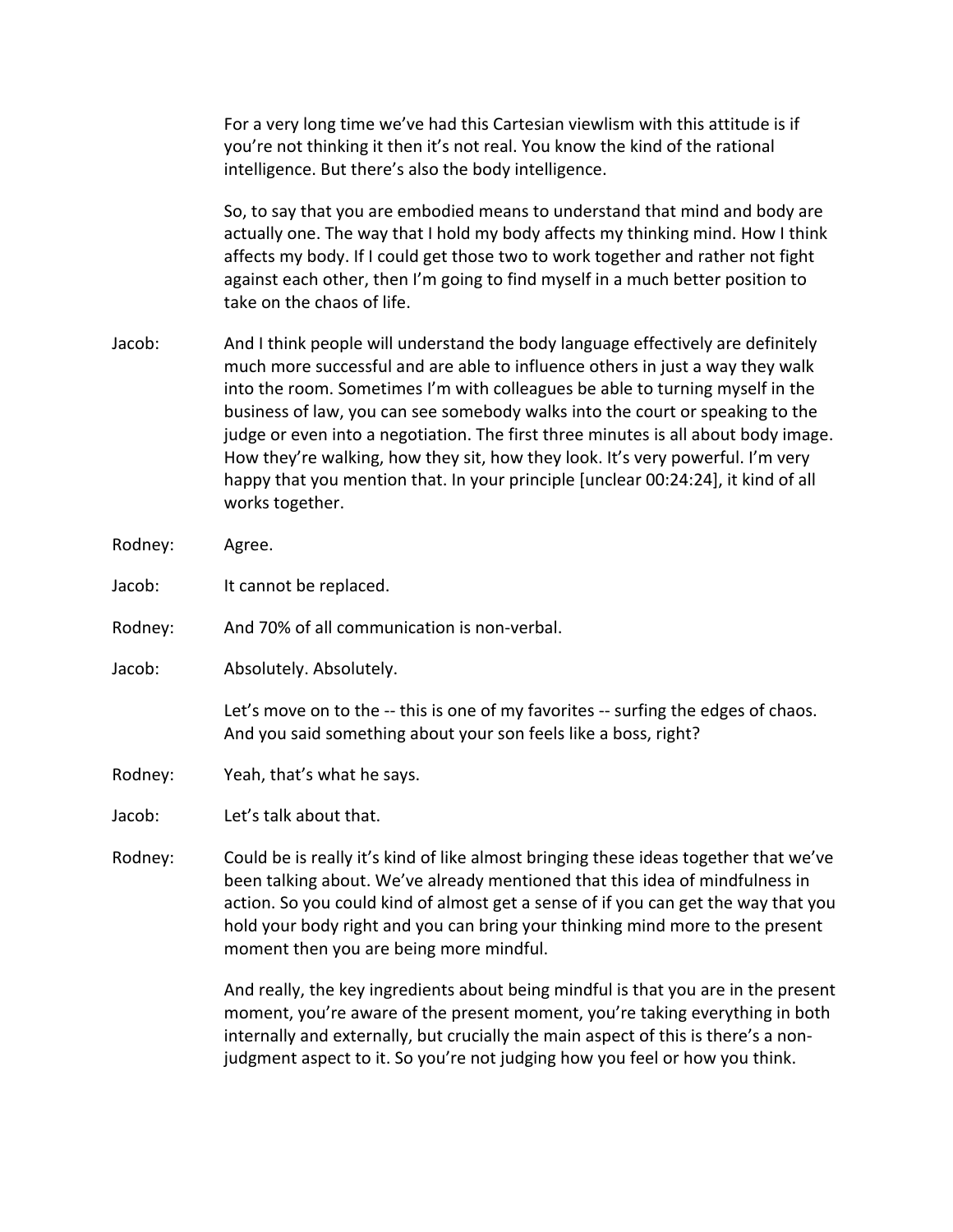For a very long time we've had this Cartesian viewlism with this attitude is if you're not thinking it then it's not real. You know the kind of the rational intelligence. But there's also the body intelligence.

So, to say that you are embodied means to understand that mind and body are actually one. The way that I hold my body affects my thinking mind. How I think affects my body. If I could get those two to work together and rather not fight against each other, then I'm going to find myself in a much better position to take on the chaos of life.

- Jacob: And I think people will understand the body language effectively are definitely much more successful and are able to influence others in just a way they walk into the room. Sometimes I'm with colleagues be able to turning myself in the business of law, you can see somebody walks into the court or speaking to the judge or even into a negotiation. The first three minutes is all about body image. How they're walking, how they sit, how they look. It's very powerful. I'm very happy that you mention that. In your principle [unclear 00:24:24], it kind of all works together.
- Rodney: Agree.
- Jacob: It cannot be replaced.
- Rodney: And 70% of all communication is non-verbal.
- Jacob: Absolutely. Absolutely.

Let's move on to the -- this is one of my favorites -- surfing the edges of chaos. And you said something about your son feels like a boss, right?

Rodney: Yeah, that's what he says.

Jacob: Let's talk about that.

Rodney: Could be is really it's kind of like almost bringing these ideas together that we've been talking about. We've already mentioned that this idea of mindfulness in action. So you could kind of almost get a sense of if you can get the way that you hold your body right and you can bring your thinking mind more to the present moment then you are being more mindful.

> And really, the key ingredients about being mindful is that you are in the present moment, you're aware of the present moment, you're taking everything in both internally and externally, but crucially the main aspect of this is there's a nonjudgment aspect to it. So you're not judging how you feel or how you think.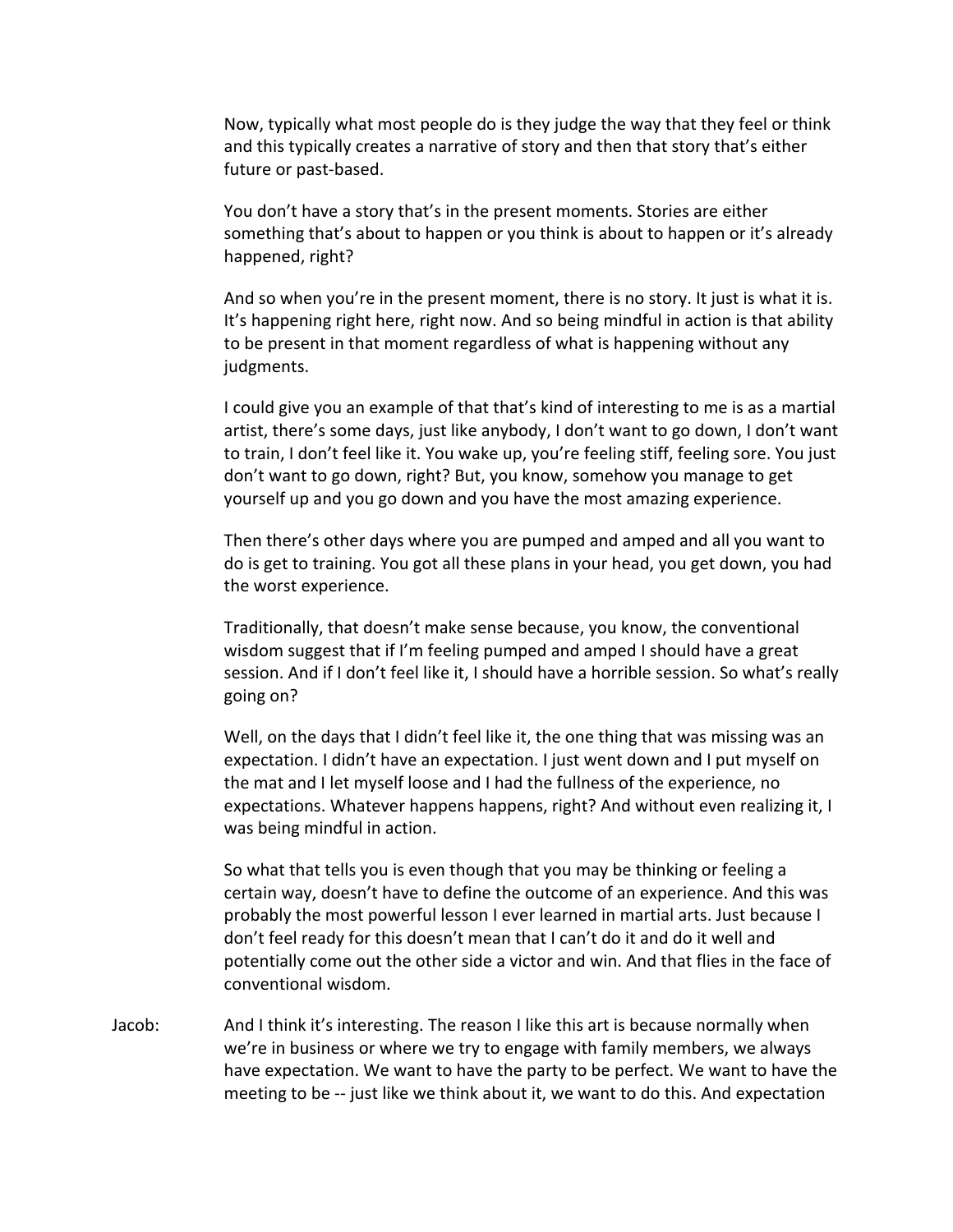Now, typically what most people do is they judge the way that they feel or think and this typically creates a narrative of story and then that story that's either future or past-based.

You don't have a story that's in the present moments. Stories are either something that's about to happen or you think is about to happen or it's already happened, right?

And so when you're in the present moment, there is no story. It just is what it is. It's happening right here, right now. And so being mindful in action is that ability to be present in that moment regardless of what is happening without any judgments. 

I could give you an example of that that's kind of interesting to me is as a martial artist, there's some days, just like anybody, I don't want to go down, I don't want to train, I don't feel like it. You wake up, you're feeling stiff, feeling sore. You just don't want to go down, right? But, you know, somehow you manage to get yourself up and you go down and you have the most amazing experience.

Then there's other days where you are pumped and amped and all you want to do is get to training. You got all these plans in your head, you get down, you had the worst experience.

Traditionally, that doesn't make sense because, you know, the conventional wisdom suggest that if I'm feeling pumped and amped I should have a great session. And if I don't feel like it, I should have a horrible session. So what's really going on?

Well, on the days that I didn't feel like it, the one thing that was missing was an expectation. I didn't have an expectation. I just went down and I put myself on the mat and I let myself loose and I had the fullness of the experience, no expectations. Whatever happens happens, right? And without even realizing it, I was being mindful in action.

So what that tells you is even though that you may be thinking or feeling a certain way, doesn't have to define the outcome of an experience. And this was probably the most powerful lesson I ever learned in martial arts. Just because I don't feel ready for this doesn't mean that I can't do it and do it well and potentially come out the other side a victor and win. And that flies in the face of conventional wisdom.

Jacob: And I think it's interesting. The reason I like this art is because normally when we're in business or where we try to engage with family members, we always have expectation. We want to have the party to be perfect. We want to have the meeting to be -- just like we think about it, we want to do this. And expectation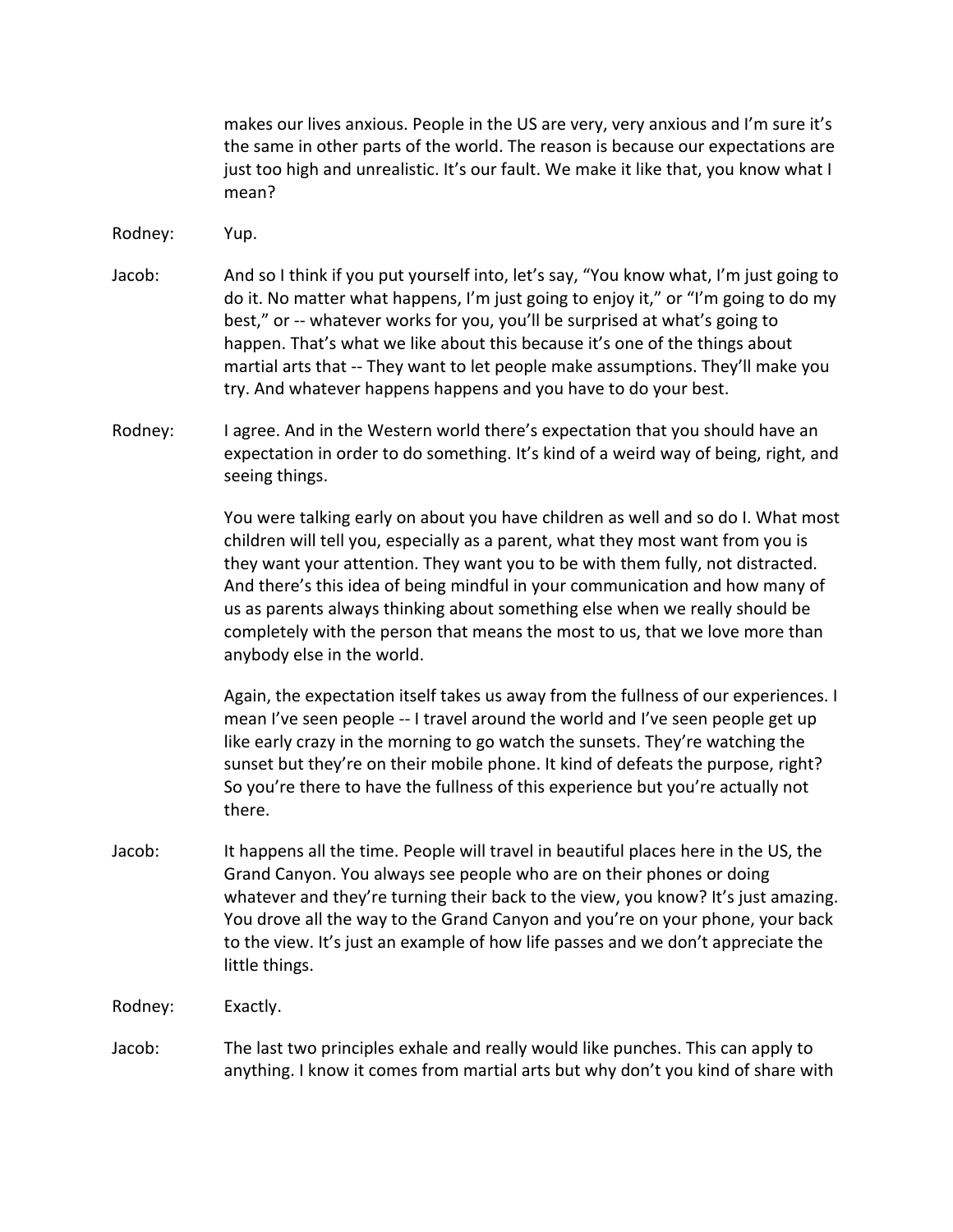makes our lives anxious. People in the US are very, very anxious and I'm sure it's the same in other parts of the world. The reason is because our expectations are just too high and unrealistic. It's our fault. We make it like that, you know what I mean?

Rodney: Yup.

- Jacob: And so I think if you put yourself into, let's say, "You know what, I'm just going to do it. No matter what happens, I'm just going to enjoy it," or "I'm going to do my best," or -- whatever works for you, you'll be surprised at what's going to happen. That's what we like about this because it's one of the things about martial arts that -- They want to let people make assumptions. They'll make you try. And whatever happens happens and you have to do your best.
- Rodney: I agree. And in the Western world there's expectation that you should have an expectation in order to do something. It's kind of a weird way of being, right, and seeing things.

You were talking early on about you have children as well and so do I. What most children will tell you, especially as a parent, what they most want from you is they want your attention. They want you to be with them fully, not distracted. And there's this idea of being mindful in your communication and how many of us as parents always thinking about something else when we really should be completely with the person that means the most to us, that we love more than anybody else in the world.

Again, the expectation itself takes us away from the fullness of our experiences. I mean I've seen people -- I travel around the world and I've seen people get up like early crazy in the morning to go watch the sunsets. They're watching the sunset but they're on their mobile phone. It kind of defeats the purpose, right? So you're there to have the fullness of this experience but you're actually not there. 

- Jacob: It happens all the time. People will travel in beautiful places here in the US, the Grand Canyon. You always see people who are on their phones or doing whatever and they're turning their back to the view, you know? It's just amazing. You drove all the way to the Grand Canyon and you're on your phone, your back to the view. It's just an example of how life passes and we don't appreciate the little things.
- Rodney: Exactly.

Jacob: The last two principles exhale and really would like punches. This can apply to anything. I know it comes from martial arts but why don't you kind of share with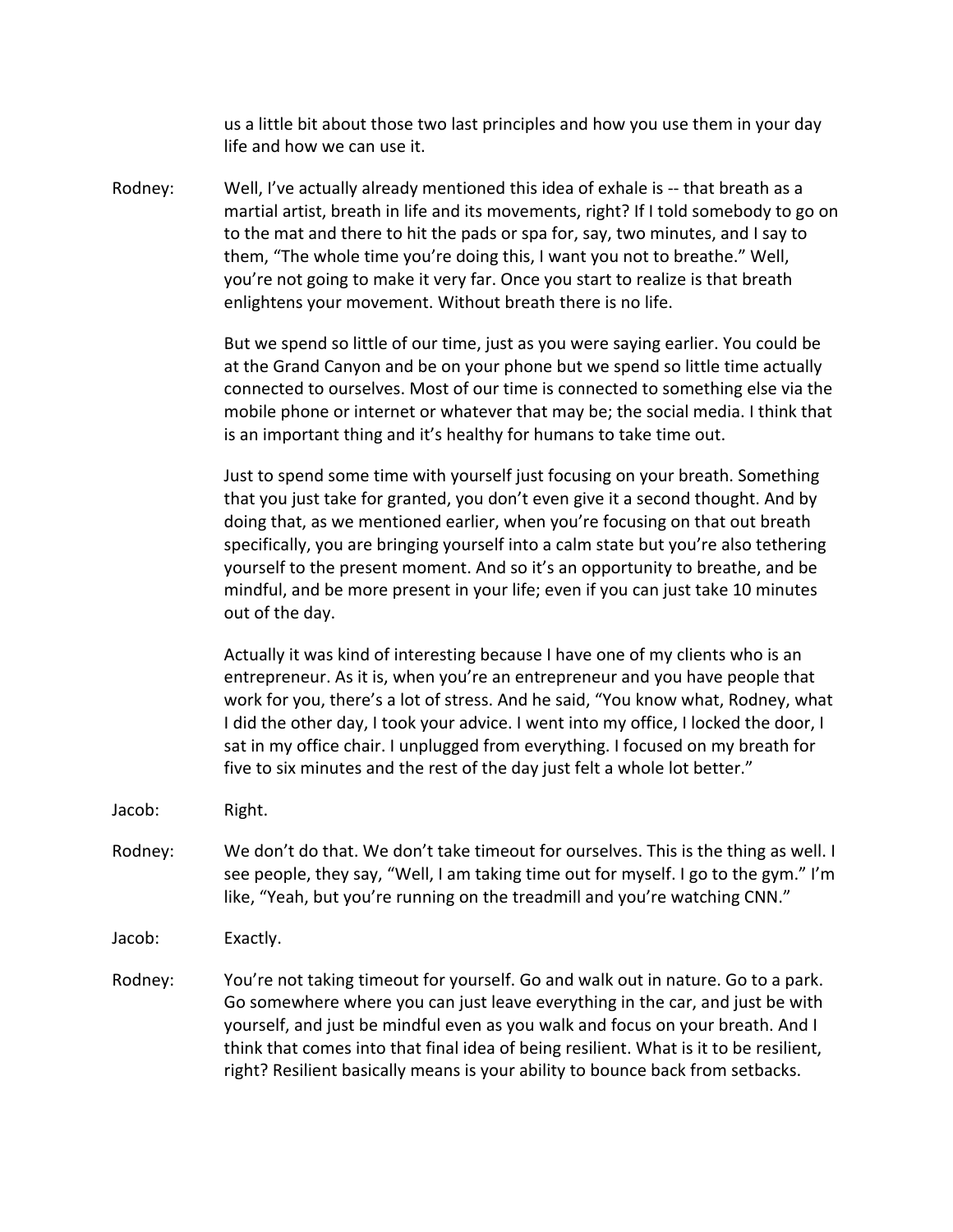us a little bit about those two last principles and how you use them in your day life and how we can use it.

Rodney: Well, I've actually already mentioned this idea of exhale is -- that breath as a martial artist, breath in life and its movements, right? If I told somebody to go on to the mat and there to hit the pads or spa for, say, two minutes, and I say to them, "The whole time you're doing this, I want you not to breathe." Well, you're not going to make it very far. Once you start to realize is that breath enlightens your movement. Without breath there is no life.

> But we spend so little of our time, just as you were saying earlier. You could be at the Grand Canyon and be on your phone but we spend so little time actually connected to ourselves. Most of our time is connected to something else via the mobile phone or internet or whatever that may be; the social media. I think that is an important thing and it's healthy for humans to take time out.

Just to spend some time with yourself just focusing on your breath. Something that you just take for granted, you don't even give it a second thought. And by doing that, as we mentioned earlier, when you're focusing on that out breath specifically, you are bringing yourself into a calm state but you're also tethering yourself to the present moment. And so it's an opportunity to breathe, and be mindful, and be more present in your life; even if you can just take 10 minutes out of the day.

Actually it was kind of interesting because I have one of my clients who is an entrepreneur. As it is, when you're an entrepreneur and you have people that work for you, there's a lot of stress. And he said, "You know what, Rodney, what I did the other day, I took your advice. I went into my office, I locked the door, I sat in my office chair. I unplugged from everything. I focused on my breath for five to six minutes and the rest of the day just felt a whole lot better."

- Jacob: Right.
- Rodney: We don't do that. We don't take timeout for ourselves. This is the thing as well. I see people, they say, "Well, I am taking time out for myself. I go to the gym." I'm like, "Yeah, but you're running on the treadmill and you're watching CNN."
- Jacob: Exactly.
- Rodney: You're not taking timeout for yourself. Go and walk out in nature. Go to a park. Go somewhere where you can just leave everything in the car, and just be with yourself, and just be mindful even as you walk and focus on your breath. And I think that comes into that final idea of being resilient. What is it to be resilient, right? Resilient basically means is your ability to bounce back from setbacks.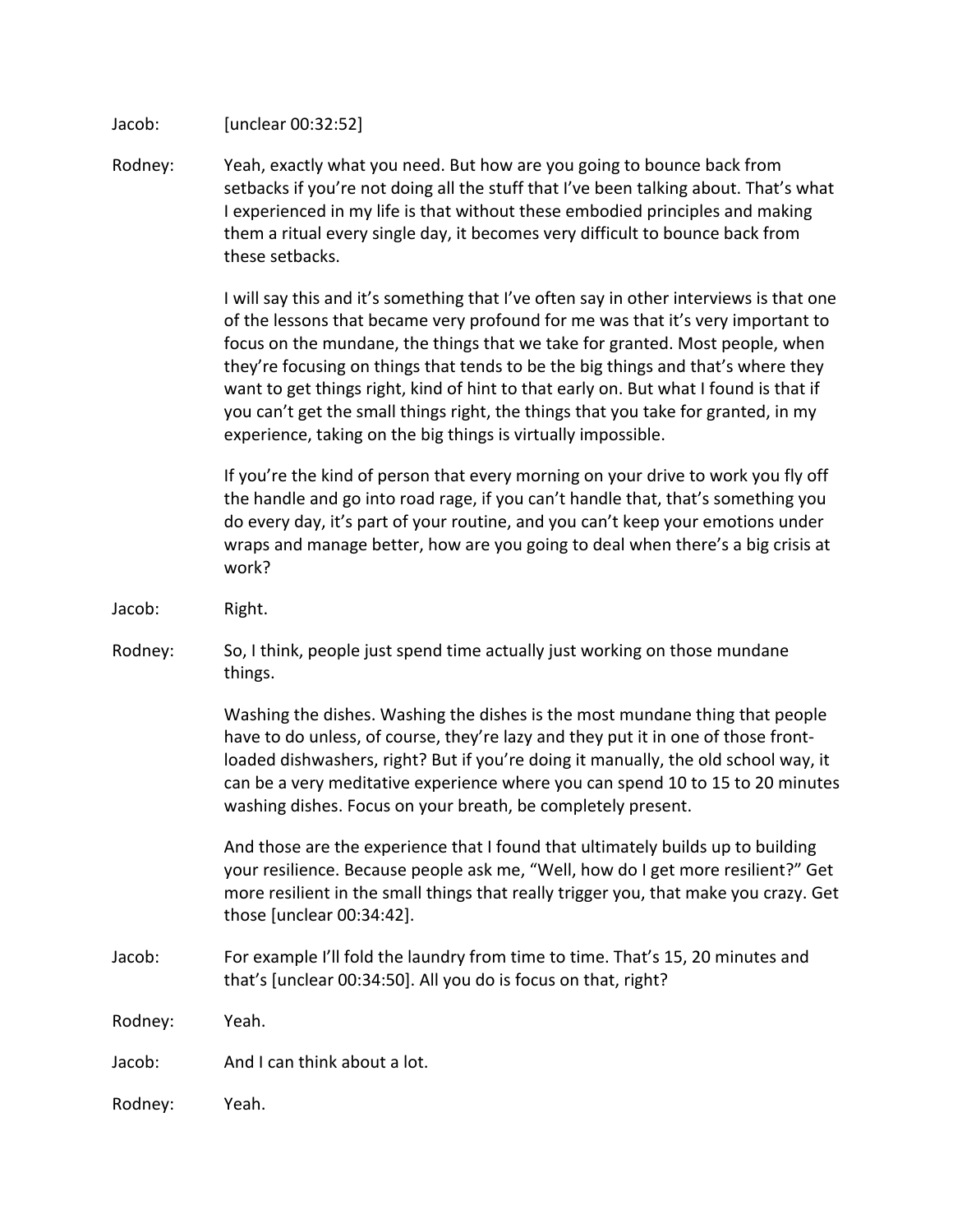Jacob: [unclear 00:32:52]

Rodney: Yeah, exactly what you need. But how are you going to bounce back from setbacks if you're not doing all the stuff that I've been talking about. That's what I experienced in my life is that without these embodied principles and making them a ritual every single day, it becomes very difficult to bounce back from these setbacks.

> I will say this and it's something that I've often say in other interviews is that one of the lessons that became very profound for me was that it's very important to focus on the mundane, the things that we take for granted. Most people, when they're focusing on things that tends to be the big things and that's where they want to get things right, kind of hint to that early on. But what I found is that if you can't get the small things right, the things that you take for granted, in my experience, taking on the big things is virtually impossible.

> If you're the kind of person that every morning on your drive to work you fly off the handle and go into road rage, if you can't handle that, that's something you do every day, it's part of your routine, and you can't keep your emotions under wraps and manage better, how are you going to deal when there's a big crisis at work?

- Jacob: Right.
- Rodney: So, I think, people just spend time actually just working on those mundane things.

Washing the dishes. Washing the dishes is the most mundane thing that people have to do unless, of course, they're lazy and they put it in one of those frontloaded dishwashers, right? But if you're doing it manually, the old school way, it can be a very meditative experience where you can spend 10 to 15 to 20 minutes washing dishes. Focus on your breath, be completely present.

And those are the experience that I found that ultimately builds up to building your resilience. Because people ask me, "Well, how do I get more resilient?" Get more resilient in the small things that really trigger you, that make you crazy. Get those [unclear 00:34:42].

Jacob: For example I'll fold the laundry from time to time. That's 15, 20 minutes and that's [unclear  $00:34:50$ ]. All you do is focus on that, right?

Rodney: Yeah. 

Jacob: And I can think about a lot.

Rodney: Yeah.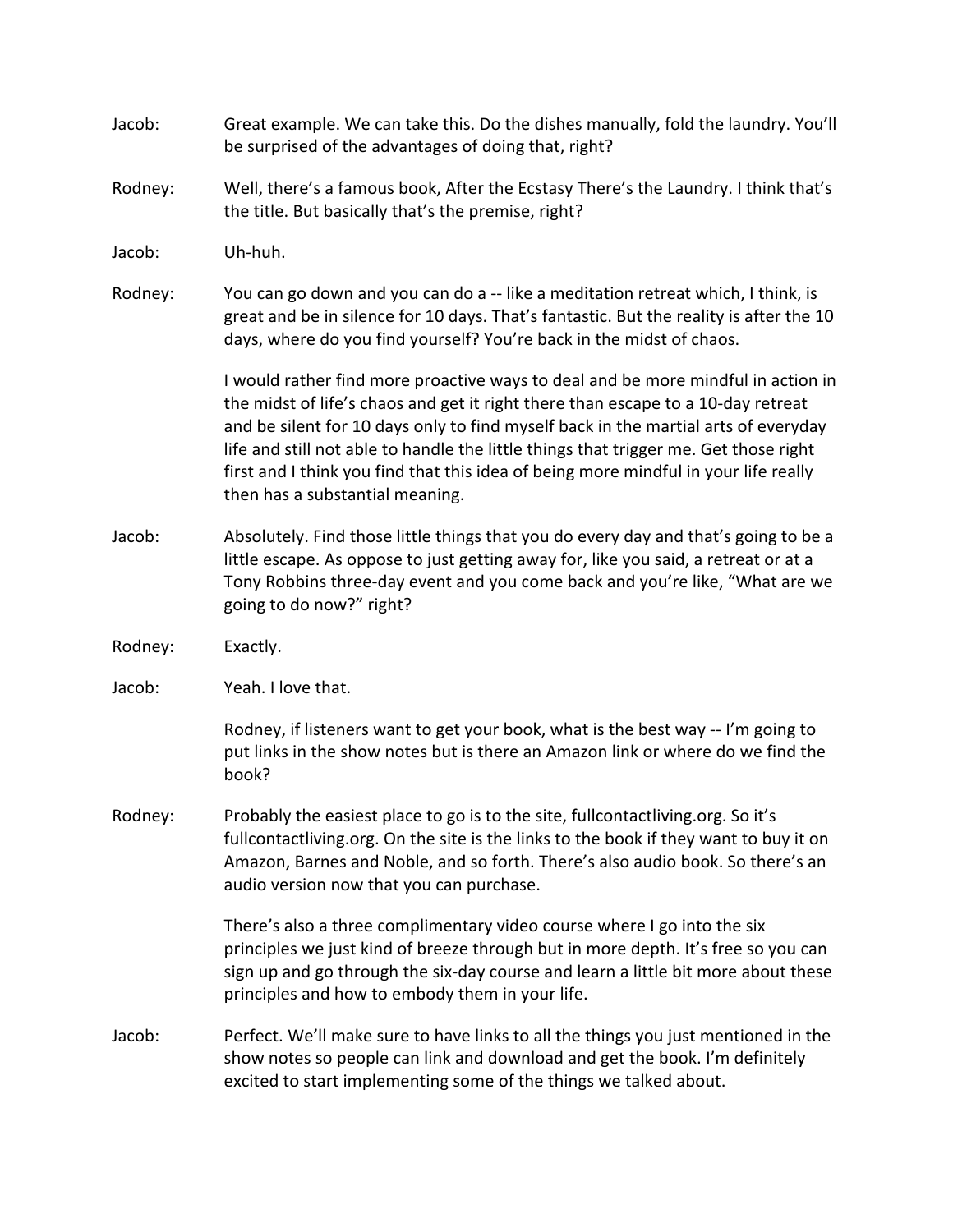| Jacob:  | Great example. We can take this. Do the dishes manually, fold the laundry. You'll<br>be surprised of the advantages of doing that, right?                                                                                                                                                                                                                                                                                                                                    |
|---------|------------------------------------------------------------------------------------------------------------------------------------------------------------------------------------------------------------------------------------------------------------------------------------------------------------------------------------------------------------------------------------------------------------------------------------------------------------------------------|
| Rodney: | Well, there's a famous book, After the Ecstasy There's the Laundry. I think that's<br>the title. But basically that's the premise, right?                                                                                                                                                                                                                                                                                                                                    |
| Jacob:  | Uh-huh.                                                                                                                                                                                                                                                                                                                                                                                                                                                                      |
| Rodney: | You can go down and you can do a -- like a meditation retreat which, I think, is<br>great and be in silence for 10 days. That's fantastic. But the reality is after the 10<br>days, where do you find yourself? You're back in the midst of chaos.                                                                                                                                                                                                                           |
|         | I would rather find more proactive ways to deal and be more mindful in action in<br>the midst of life's chaos and get it right there than escape to a 10-day retreat<br>and be silent for 10 days only to find myself back in the martial arts of everyday<br>life and still not able to handle the little things that trigger me. Get those right<br>first and I think you find that this idea of being more mindful in your life really<br>then has a substantial meaning. |
| Jacob:  | Absolutely. Find those little things that you do every day and that's going to be a<br>little escape. As oppose to just getting away for, like you said, a retreat or at a<br>Tony Robbins three-day event and you come back and you're like, "What are we<br>going to do now?" right?                                                                                                                                                                                       |
| Rodney: | Exactly.                                                                                                                                                                                                                                                                                                                                                                                                                                                                     |
| Jacob:  | Yeah. I love that.                                                                                                                                                                                                                                                                                                                                                                                                                                                           |
|         | Rodney, if listeners want to get your book, what is the best way -- I'm going to<br>put links in the show notes but is there an Amazon link or where do we find the<br>book?                                                                                                                                                                                                                                                                                                 |
| Rodney: | Probably the easiest place to go is to the site, fullcontactliving.org. So it's<br>fullcontactliving.org. On the site is the links to the book if they want to buy it on<br>Amazon, Barnes and Noble, and so forth. There's also audio book. So there's an<br>audio version now that you can purchase.                                                                                                                                                                       |
|         | There's also a three complimentary video course where I go into the six<br>principles we just kind of breeze through but in more depth. It's free so you can<br>sign up and go through the six-day course and learn a little bit more about these<br>principles and how to embody them in your life.                                                                                                                                                                         |
| Jacob:  | Perfect. We'll make sure to have links to all the things you just mentioned in the<br>show notes so people can link and download and get the book. I'm definitely<br>excited to start implementing some of the things we talked about.                                                                                                                                                                                                                                       |